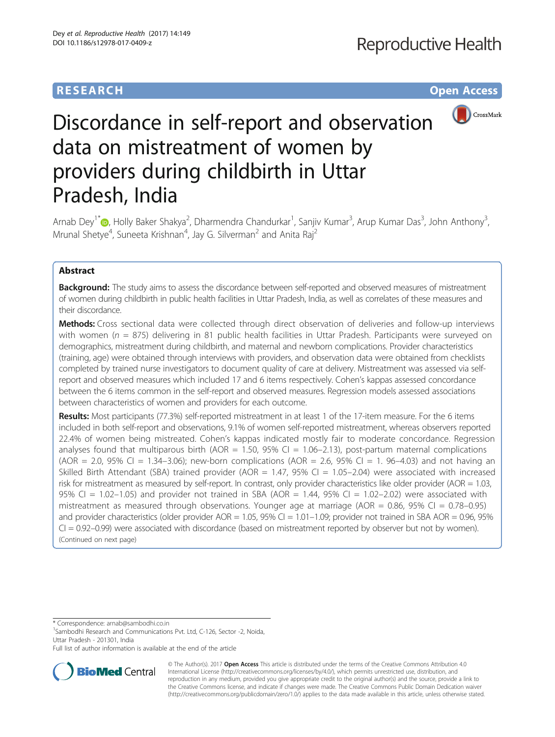## **RESEARCH RESEARCH** *CHECK <b>CHECK*



# Discordance in self-report and observation data on mistreatment of women by providers during childbirth in Uttar Pradesh, India

Arnab Dey<sup>1\*</sup> (D[,](http://orcid.org/0000-0003-4585-3130) Holly Baker Shakya<sup>2</sup>, Dharmendra Chandurkar<sup>1</sup>, Sanjiv Kumar<sup>3</sup>, Arup Kumar Das<sup>3</sup>, John Anthony<sup>3</sup> , Mrunal Shetye<sup>4</sup>, Suneeta Krishnan<sup>4</sup>, Jay G. Silverman<sup>2</sup> and Anita Raj<sup>2</sup>

## Abstract

**Background:** The study aims to assess the discordance between self-reported and observed measures of mistreatment of women during childbirth in public health facilities in Uttar Pradesh, India, as well as correlates of these measures and their discordance.

Methods: Cross sectional data were collected through direct observation of deliveries and follow-up interviews with women ( $n = 875$ ) delivering in 81 public health facilities in Uttar Pradesh. Participants were surveyed on demographics, mistreatment during childbirth, and maternal and newborn complications. Provider characteristics (training, age) were obtained through interviews with providers, and observation data were obtained from checklists completed by trained nurse investigators to document quality of care at delivery. Mistreatment was assessed via selfreport and observed measures which included 17 and 6 items respectively. Cohen's kappas assessed concordance between the 6 items common in the self-report and observed measures. Regression models assessed associations between characteristics of women and providers for each outcome.

Results: Most participants (77.3%) self-reported mistreatment in at least 1 of the 17-item measure. For the 6 items included in both self-report and observations, 9.1% of women self-reported mistreatment, whereas observers reported 22.4% of women being mistreated. Cohen's kappas indicated mostly fair to moderate concordance. Regression analyses found that multiparous birth (AOR =  $1.50$ , 95% CI =  $1.06-2.13$ ), post-partum maternal complications  $(AOR = 2.0, 95\% \text{ CI} = 1.34-3.06)$ ; new-born complications  $(AOR = 2.6, 95\% \text{ CI} = 1.96-4.03)$  and not having an Skilled Birth Attendant (SBA) trained provider (AOR = 1.47, 95% CI = 1.05–2.04) were associated with increased risk for mistreatment as measured by self-report. In contrast, only provider characteristics like older provider (AOR = 1.03, 95% CI =  $1.02-1.05$ ) and provider not trained in SBA (AOR =  $1.44$ , 95% CI =  $1.02-2.02$ ) were associated with mistreatment as measured through observations. Younger age at marriage (AOR =  $0.86$ ,  $95\%$  CI =  $0.78-0.95$ ) and provider characteristics (older provider AOR =  $1.05$ ,  $95\%$  CI =  $1.01-1.09$ ; provider not trained in SBA AOR = 0.96,  $95\%$ CI = 0.92–0.99) were associated with discordance (based on mistreatment reported by observer but not by women). (Continued on next page)

\* Correspondence: [arnab@sambodhi.co.in](mailto:arnab@sambodhi.co.in) <sup>1</sup>

<sup>1</sup>Sambodhi Research and Communications Pvt. Ltd, C-126, Sector -2, Noida, Uttar Pradesh - 201301, India

Full list of author information is available at the end of the article



© The Author(s). 2017 **Open Access** This article is distributed under the terms of the Creative Commons Attribution 4.0 International License [\(http://creativecommons.org/licenses/by/4.0/](http://creativecommons.org/licenses/by/4.0/)), which permits unrestricted use, distribution, and reproduction in any medium, provided you give appropriate credit to the original author(s) and the source, provide a link to the Creative Commons license, and indicate if changes were made. The Creative Commons Public Domain Dedication waiver [\(http://creativecommons.org/publicdomain/zero/1.0/](http://creativecommons.org/publicdomain/zero/1.0/)) applies to the data made available in this article, unless otherwise stated.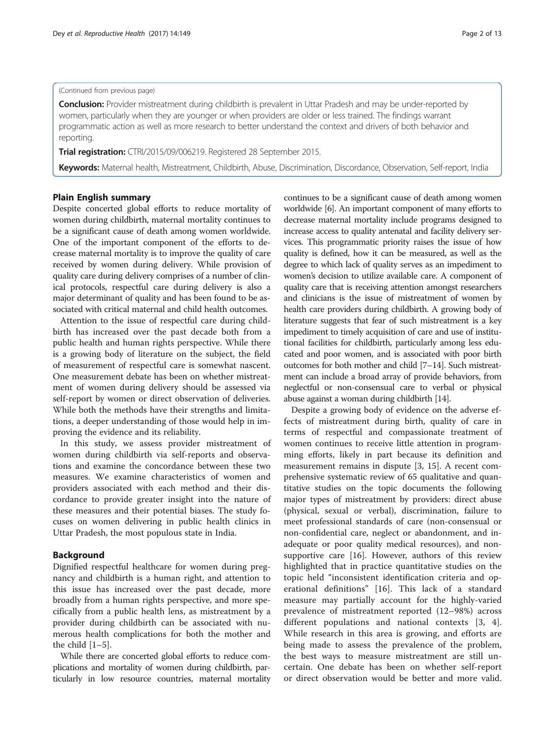## (Continued from previous page)

Conclusion: Provider mistreatment during childbirth is prevalent in Uttar Pradesh and may be under-reported by women, particularly when they are younger or when providers are older or less trained. The findings warrant programmatic action as well as more research to better understand the context and drivers of both behavior and reporting.

## Trial registration: CTRI/2015/09/006219. Registered 28 September 2015.

Keywords: Maternal health, Mistreatment, Childbirth, Abuse, Discrimination, Discordance, Observation, Self-report, India

## Plain English summary

Despite concerted global efforts to reduce mortality of women during childbirth, maternal mortality continues to be a significant cause of death among women worldwide. One of the important component of the efforts to decrease maternal mortality is to improve the quality of care received by women during delivery. While provision of quality care during delivery comprises of a number of clinical protocols, respectful care during delivery is also a major determinant of quality and has been found to be associated with critical maternal and child health outcomes.

Attention to the issue of respectful care during childbirth has increased over the past decade both from a public health and human rights perspective. While there is a growing body of literature on the subject, the field of measurement of respectful care is somewhat nascent. One measurement debate has been on whether mistreatment of women during delivery should be assessed via self-report by women or direct observation of deliveries. While both the methods have their strengths and limitations, a deeper understanding of those would help in improving the evidence and its reliability.

In this study, we assess provider mistreatment of women during childbirth via self-reports and observations and examine the concordance between these two measures. We examine characteristics of women and providers associated with each method and their discordance to provide greater insight into the nature of these measures and their potential biases. The study focuses on women delivering in public health clinics in Uttar Pradesh, the most populous state in India.

## Background

Dignified respectful healthcare for women during pregnancy and childbirth is a human right, and attention to this issue has increased over the past decade, more broadly from a human rights perspective, and more specifically from a public health lens, as mistreatment by a provider during childbirth can be associated with numerous health complications for both the mother and the child  $[1-5]$  $[1-5]$  $[1-5]$  $[1-5]$ .

While there are concerted global efforts to reduce complications and mortality of women during childbirth, particularly in low resource countries, maternal mortality continues to be a significant cause of death among women worldwide [\[6](#page-11-0)]. An important component of many efforts to decrease maternal mortality include programs designed to increase access to quality antenatal and facility delivery services. This programmatic priority raises the issue of how quality is defined, how it can be measured, as well as the degree to which lack of quality serves as an impediment to women's decision to utilize available care. A component of quality care that is receiving attention amongst researchers and clinicians is the issue of mistreatment of women by health care providers during childbirth. A growing body of literature suggests that fear of such mistreatment is a key impediment to timely acquisition of care and use of institutional facilities for childbirth, particularly among less educated and poor women, and is associated with poor birth outcomes for both mother and child [[7](#page-11-0)–[14\]](#page-11-0). Such mistreatment can include a broad array of provide behaviors, from neglectful or non-consensual care to verbal or physical abuse against a woman during childbirth [[14](#page-11-0)].

Despite a growing body of evidence on the adverse effects of mistreatment during birth, quality of care in terms of respectful and compassionate treatment of women continues to receive little attention in programming efforts, likely in part because its definition and measurement remains in dispute [[3, 15\]](#page-11-0). A recent comprehensive systematic review of 65 qualitative and quantitative studies on the topic documents the following major types of mistreatment by providers: direct abuse (physical, sexual or verbal), discrimination, failure to meet professional standards of care (non-consensual or non-confidential care, neglect or abandonment, and inadequate or poor quality medical resources), and nonsupportive care [[16](#page-11-0)]. However, authors of this review highlighted that in practice quantitative studies on the topic held "inconsistent identification criteria and operational definitions" [[16\]](#page-11-0). This lack of a standard measure may partially account for the highly-varied prevalence of mistreatment reported (12–98%) across different populations and national contexts [[3, 4](#page-11-0)]. While research in this area is growing, and efforts are being made to assess the prevalence of the problem, the best ways to measure mistreatment are still uncertain. One debate has been on whether self-report or direct observation would be better and more valid.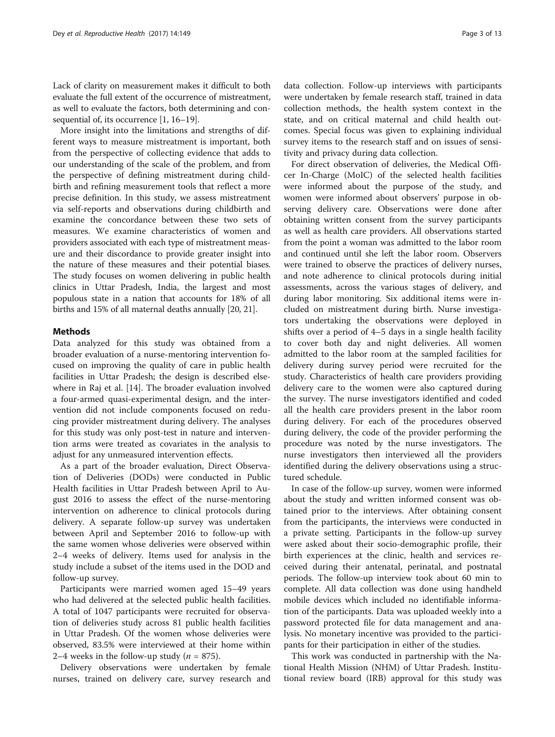Lack of clarity on measurement makes it difficult to both evaluate the full extent of the occurrence of mistreatment, as well to evaluate the factors, both determining and consequential of, its occurrence [\[1](#page-11-0), [16](#page-11-0)–[19\]](#page-12-0).

More insight into the limitations and strengths of different ways to measure mistreatment is important, both from the perspective of collecting evidence that adds to our understanding of the scale of the problem, and from the perspective of defining mistreatment during childbirth and refining measurement tools that reflect a more precise definition. In this study, we assess mistreatment via self-reports and observations during childbirth and examine the concordance between these two sets of measures. We examine characteristics of women and providers associated with each type of mistreatment measure and their discordance to provide greater insight into the nature of these measures and their potential biases. The study focuses on women delivering in public health clinics in Uttar Pradesh, India, the largest and most populous state in a nation that accounts for 18% of all births and 15% of all maternal deaths annually [\[20, 21](#page-12-0)].

#### Methods

Data analyzed for this study was obtained from a broader evaluation of a nurse-mentoring intervention focused on improving the quality of care in public health facilities in Uttar Pradesh; the design is described elsewhere in Raj et al. [\[14](#page-11-0)]. The broader evaluation involved a four-armed quasi-experimental design, and the intervention did not include components focused on reducing provider mistreatment during delivery. The analyses for this study was only post-test in nature and intervention arms were treated as covariates in the analysis to adjust for any unmeasured intervention effects.

As a part of the broader evaluation, Direct Observation of Deliveries (DODs) were conducted in Public Health facilities in Uttar Pradesh between April to August 2016 to assess the effect of the nurse-mentoring intervention on adherence to clinical protocols during delivery. A separate follow-up survey was undertaken between April and September 2016 to follow-up with the same women whose deliveries were observed within 2–4 weeks of delivery. Items used for analysis in the study include a subset of the items used in the DOD and follow-up survey.

Participants were married women aged 15–49 years who had delivered at the selected public health facilities. A total of 1047 participants were recruited for observation of deliveries study across 81 public health facilities in Uttar Pradesh. Of the women whose deliveries were observed, 83.5% were interviewed at their home within 2–4 weeks in the follow-up study ( $n = 875$ ).

Delivery observations were undertaken by female nurses, trained on delivery care, survey research and

data collection. Follow-up interviews with participants were undertaken by female research staff, trained in data collection methods, the health system context in the state, and on critical maternal and child health outcomes. Special focus was given to explaining individual survey items to the research staff and on issues of sensitivity and privacy during data collection.

For direct observation of deliveries, the Medical Officer In-Charge (MoIC) of the selected health facilities were informed about the purpose of the study, and women were informed about observers' purpose in observing delivery care. Observations were done after obtaining written consent from the survey participants as well as health care providers. All observations started from the point a woman was admitted to the labor room and continued until she left the labor room. Observers were trained to observe the practices of delivery nurses, and note adherence to clinical protocols during initial assessments, across the various stages of delivery, and during labor monitoring. Six additional items were included on mistreatment during birth. Nurse investigators undertaking the observations were deployed in shifts over a period of 4–5 days in a single health facility to cover both day and night deliveries. All women admitted to the labor room at the sampled facilities for delivery during survey period were recruited for the study. Characteristics of health care providers providing delivery care to the women were also captured during the survey. The nurse investigators identified and coded all the health care providers present in the labor room during delivery. For each of the procedures observed during delivery, the code of the provider performing the procedure was noted by the nurse investigators. The nurse investigators then interviewed all the providers identified during the delivery observations using a structured schedule.

In case of the follow-up survey, women were informed about the study and written informed consent was obtained prior to the interviews. After obtaining consent from the participants, the interviews were conducted in a private setting. Participants in the follow-up survey were asked about their socio-demographic profile, their birth experiences at the clinic, health and services received during their antenatal, perinatal, and postnatal periods. The follow-up interview took about 60 min to complete. All data collection was done using handheld mobile devices which included no identifiable information of the participants. Data was uploaded weekly into a password protected file for data management and analysis. No monetary incentive was provided to the participants for their participation in either of the studies.

This work was conducted in partnership with the National Health Mission (NHM) of Uttar Pradesh. Institutional review board (IRB) approval for this study was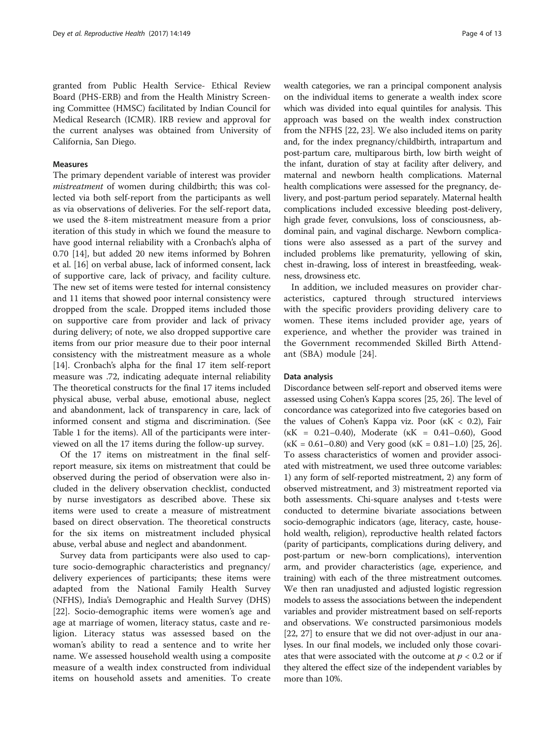granted from Public Health Service- Ethical Review Board (PHS-ERB) and from the Health Ministry Screening Committee (HMSC) facilitated by Indian Council for Medical Research (ICMR). IRB review and approval for the current analyses was obtained from University of California, San Diego.

## Measures

The primary dependent variable of interest was provider mistreatment of women during childbirth; this was collected via both self-report from the participants as well as via observations of deliveries. For the self-report data, we used the 8-item mistreatment measure from a prior iteration of this study in which we found the measure to have good internal reliability with a Cronbach's alpha of 0.70 [[14](#page-11-0)], but added 20 new items informed by Bohren et al. [\[16](#page-11-0)] on verbal abuse, lack of informed consent, lack of supportive care, lack of privacy, and facility culture. The new set of items were tested for internal consistency and 11 items that showed poor internal consistency were dropped from the scale. Dropped items included those on supportive care from provider and lack of privacy during delivery; of note, we also dropped supportive care items from our prior measure due to their poor internal consistency with the mistreatment measure as a whole [[14\]](#page-11-0). Cronbach's alpha for the final 17 item self-report measure was .72, indicating adequate internal reliability The theoretical constructs for the final 17 items included physical abuse, verbal abuse, emotional abuse, neglect and abandonment, lack of transparency in care, lack of informed consent and stigma and discrimination. (See Table [1](#page-4-0) for the items). All of the participants were interviewed on all the 17 items during the follow-up survey.

Of the 17 items on mistreatment in the final selfreport measure, six items on mistreatment that could be observed during the period of observation were also included in the delivery observation checklist, conducted by nurse investigators as described above. These six items were used to create a measure of mistreatment based on direct observation. The theoretical constructs for the six items on mistreatment included physical abuse, verbal abuse and neglect and abandonment.

Survey data from participants were also used to capture socio-demographic characteristics and pregnancy/ delivery experiences of participants; these items were adapted from the National Family Health Survey (NFHS), India's Demographic and Health Survey (DHS) [[22\]](#page-12-0). Socio-demographic items were women's age and age at marriage of women, literacy status, caste and religion. Literacy status was assessed based on the woman's ability to read a sentence and to write her name. We assessed household wealth using a composite measure of a wealth index constructed from individual items on household assets and amenities. To create wealth categories, we ran a principal component analysis on the individual items to generate a wealth index score which was divided into equal quintiles for analysis. This approach was based on the wealth index construction from the NFHS [\[22, 23](#page-12-0)]. We also included items on parity and, for the index pregnancy/childbirth, intrapartum and post-partum care, multiparous birth, low birth weight of the infant, duration of stay at facility after delivery, and maternal and newborn health complications. Maternal health complications were assessed for the pregnancy, delivery, and post-partum period separately. Maternal health complications included excessive bleeding post-delivery, high grade fever, convulsions, loss of consciousness, abdominal pain, and vaginal discharge. Newborn complications were also assessed as a part of the survey and included problems like prematurity, yellowing of skin, chest in-drawing, loss of interest in breastfeeding, weakness, drowsiness etc.

In addition, we included measures on provider characteristics, captured through structured interviews with the specific providers providing delivery care to women. These items included provider age, years of experience, and whether the provider was trained in the Government recommended Skilled Birth Attendant (SBA) module [[24\]](#page-12-0).

#### Data analysis

Discordance between self-report and observed items were assessed using Cohen's Kappa scores [\[25, 26\]](#page-12-0). The level of concordance was categorized into five categories based on the values of Cohen's Kappa viz. Poor (κK < 0.2), Fair ( $\kappa$ K = 0.21–0.40), Moderate ( $\kappa$ K = 0.41–0.60), Good ( $\kappa$ K = 0.61–0.80) and Very good ( $\kappa$ K = 0.81–1.0) [[25](#page-12-0), [26](#page-12-0)]. To assess characteristics of women and provider associated with mistreatment, we used three outcome variables: 1) any form of self-reported mistreatment, 2) any form of observed mistreatment, and 3) mistreatment reported via both assessments. Chi-square analyses and t-tests were conducted to determine bivariate associations between socio-demographic indicators (age, literacy, caste, household wealth, religion), reproductive health related factors (parity of participants, complications during delivery, and post-partum or new-born complications), intervention arm, and provider characteristics (age, experience, and training) with each of the three mistreatment outcomes. We then ran unadjusted and adjusted logistic regression models to assess the associations between the independent variables and provider mistreatment based on self-reports and observations. We constructed parsimonious models [[22](#page-12-0), [27](#page-12-0)] to ensure that we did not over-adjust in our analyses. In our final models, we included only those covariates that were associated with the outcome at  $p < 0.2$  or if they altered the effect size of the independent variables by more than 10%.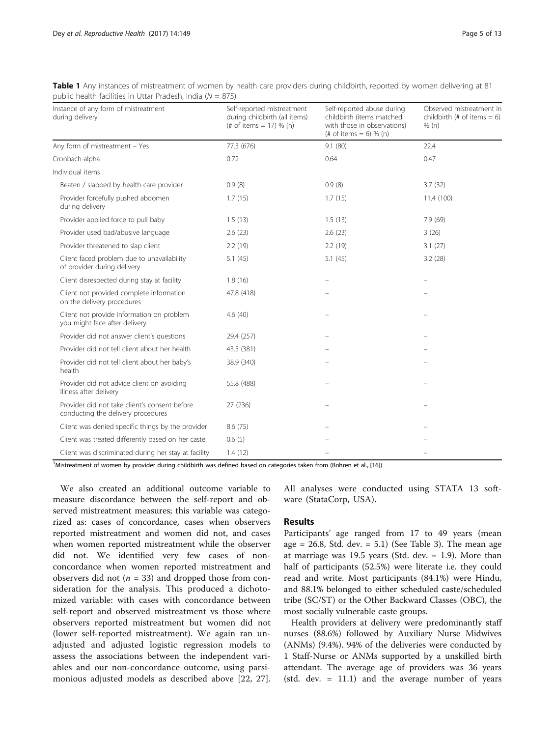<span id="page-4-0"></span>

| Table 1 Any instances of mistreatment of women by health care providers during childbirth, reported by women delivering at 81 |  |  |  |
|-------------------------------------------------------------------------------------------------------------------------------|--|--|--|
| public health facilities in Uttar Pradesh, India ( $N = 875$ )                                                                |  |  |  |

| Instance of any form of mistreatment<br>during delivery <sup>1</sup>                | Self-reported mistreatment<br>during childbirth (all items)<br>(# of items = 17) % (n) | Self-reported abuse during<br>childbirth (items matched<br>with those in observations)<br>(# of items = $6$ ) % (n) | Observed mistreatment in<br>childbirth (# of items $= 6$ )<br>% (n) |
|-------------------------------------------------------------------------------------|----------------------------------------------------------------------------------------|---------------------------------------------------------------------------------------------------------------------|---------------------------------------------------------------------|
| Any form of mistreatment - Yes                                                      | 77.3 (676)                                                                             | 9.1(80)                                                                                                             | 22.4                                                                |
| Cronbach-alpha                                                                      | 0.72                                                                                   | 0.64                                                                                                                | 0.47                                                                |
| Individual items                                                                    |                                                                                        |                                                                                                                     |                                                                     |
| Beaten / slapped by health care provider                                            | 0.9(8)                                                                                 | 0.9(8)                                                                                                              | 3.7(32)                                                             |
| Provider forcefully pushed abdomen<br>during delivery                               | 1.7(15)                                                                                | 1.7(15)                                                                                                             | 11.4 (100)                                                          |
| Provider applied force to pull baby                                                 | 1.5(13)                                                                                | 1.5(13)                                                                                                             | 7.9(69)                                                             |
| Provider used bad/abusive language                                                  | 2.6(23)                                                                                | 2.6(23)                                                                                                             | 3(26)                                                               |
| Provider threatened to slap client                                                  | 2.2(19)                                                                                | 2.2(19)                                                                                                             | 3.1(27)                                                             |
| Client faced problem due to unavailability<br>of provider during delivery           | 5.1(45)                                                                                | 5.1(45)                                                                                                             | 3.2(28)                                                             |
| Client disrespected during stay at facility                                         | 1.8(16)                                                                                |                                                                                                                     |                                                                     |
| Client not provided complete information<br>on the delivery procedures              | 47.8 (418)                                                                             |                                                                                                                     |                                                                     |
| Client not provide information on problem<br>you might face after delivery          | 4.6(40)                                                                                |                                                                                                                     |                                                                     |
| Provider did not answer client's questions                                          | 29.4 (257)                                                                             |                                                                                                                     |                                                                     |
| Provider did not tell client about her health                                       | 43.5 (381)                                                                             |                                                                                                                     |                                                                     |
| Provider did not tell client about her baby's<br>health                             | 38.9 (340)                                                                             |                                                                                                                     |                                                                     |
| Provider did not advice client on avoiding<br>illness after delivery                | 55.8 (488)                                                                             |                                                                                                                     |                                                                     |
| Provider did not take client's consent before<br>conducting the delivery procedures | 27 (236)                                                                               |                                                                                                                     |                                                                     |
| Client was denied specific things by the provider                                   | 8.6(75)                                                                                |                                                                                                                     |                                                                     |
| Client was treated differently based on her caste                                   | 0.6(5)                                                                                 |                                                                                                                     |                                                                     |
| Client was discriminated during her stay at facility                                | 1.4(12)                                                                                |                                                                                                                     |                                                                     |

<sup>1</sup>Mistreatment of women by provider during childbirth was defined based on categories taken from (Bohren et al., [\[16](#page-11-0)])

We also created an additional outcome variable to measure discordance between the self-report and observed mistreatment measures; this variable was categorized as: cases of concordance, cases when observers reported mistreatment and women did not, and cases when women reported mistreatment while the observer did not. We identified very few cases of nonconcordance when women reported mistreatment and observers did not ( $n = 33$ ) and dropped those from consideration for the analysis. This produced a dichotomized variable: with cases with concordance between self-report and observed mistreatment vs those where observers reported mistreatment but women did not (lower self-reported mistreatment). We again ran unadjusted and adjusted logistic regression models to assess the associations between the independent variables and our non-concordance outcome, using parsimonious adjusted models as described above [[22, 27](#page-12-0)].

All analyses were conducted using STATA 13 software (StataCorp, USA).

## Results

Participants' age ranged from 17 to 49 years (mean age = 26.8, Std. dev. =  $5.1$ ) (See Table [3\)](#page-6-0). The mean age at marriage was 19.5 years (Std. dev. = 1.9). More than half of participants (52.5%) were literate i.e. they could read and write. Most participants (84.1%) were Hindu, and 88.1% belonged to either scheduled caste/scheduled tribe (SC/ST) or the Other Backward Classes (OBC), the most socially vulnerable caste groups.

Health providers at delivery were predominantly staff nurses (88.6%) followed by Auxiliary Nurse Midwives (ANMs) (9.4%). 94% of the deliveries were conducted by 1 Staff-Nurse or ANMs supported by a unskilled birth attendant. The average age of providers was 36 years (std. dev. = 11.1) and the average number of years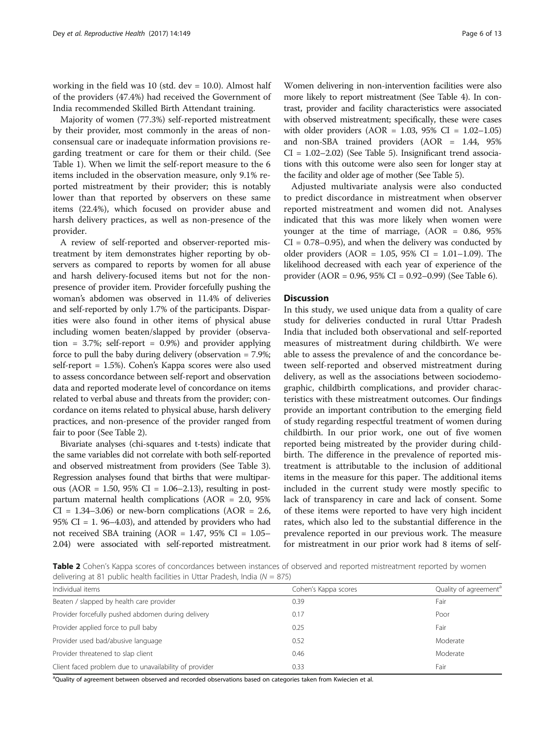working in the field was 10 (std. dev = 10.0). Almost half of the providers (47.4%) had received the Government of India recommended Skilled Birth Attendant training.

Majority of women (77.3%) self-reported mistreatment by their provider, most commonly in the areas of nonconsensual care or inadequate information provisions regarding treatment or care for them or their child. (See Table [1\)](#page-4-0). When we limit the self-report measure to the 6 items included in the observation measure, only 9.1% reported mistreatment by their provider; this is notably lower than that reported by observers on these same items (22.4%), which focused on provider abuse and harsh delivery practices, as well as non-presence of the provider.

A review of self-reported and observer-reported mistreatment by item demonstrates higher reporting by observers as compared to reports by women for all abuse and harsh delivery-focused items but not for the nonpresence of provider item. Provider forcefully pushing the woman's abdomen was observed in 11.4% of deliveries and self-reported by only 1.7% of the participants. Disparities were also found in other items of physical abuse including women beaten/slapped by provider (observation = 3.7%; self-report =  $0.9\%$ ) and provider applying force to pull the baby during delivery (observation = 7.9%; self-report = 1.5%). Cohen's Kappa scores were also used to assess concordance between self-report and observation data and reported moderate level of concordance on items related to verbal abuse and threats from the provider; concordance on items related to physical abuse, harsh delivery practices, and non-presence of the provider ranged from fair to poor (See Table 2).

Bivariate analyses (chi-squares and t-tests) indicate that the same variables did not correlate with both self-reported and observed mistreatment from providers (See Table [3](#page-6-0)). Regression analyses found that births that were multiparous (AOR = 1.50,  $95\%$  CI = 1.06–2.13), resulting in postpartum maternal health complications (AOR = 2.0, 95%  $CI = 1.34 - 3.06$  or new-born complications (AOR = 2.6, 95% CI = 1. 96–4.03), and attended by providers who had not received SBA training (AOR =  $1.47$ , 95% CI =  $1.05-$ 2.04) were associated with self-reported mistreatment.

Women delivering in non-intervention facilities were also more likely to report mistreatment (See Table [4\)](#page-7-0). In contrast, provider and facility characteristics were associated with observed mistreatment; specifically, these were cases with older providers (AOR = 1.03, 95% CI = 1.02–1.05) and non-SBA trained providers (AOR = 1.44, 95% CI = 1.02–2.02) (See Table [5\)](#page-8-0). Insignificant trend associations with this outcome were also seen for longer stay at the facility and older age of mother (See Table [5](#page-8-0)).

Adjusted multivariate analysis were also conducted to predict discordance in mistreatment when observer reported mistreatment and women did not. Analyses indicated that this was more likely when women were younger at the time of marriage, (AOR = 0.86, 95%  $CI = 0.78 - 0.95$ , and when the delivery was conducted by older providers (AOR = 1.05, 95% CI = 1.01–1.09). The likelihood decreased with each year of experience of the provider (AOR = 0.96, 95% CI = 0.92–0.99) (See Table [6\)](#page-8-0).

## Discussion

In this study, we used unique data from a quality of care study for deliveries conducted in rural Uttar Pradesh India that included both observational and self-reported measures of mistreatment during childbirth. We were able to assess the prevalence of and the concordance between self-reported and observed mistreatment during delivery, as well as the associations between sociodemographic, childbirth complications, and provider characteristics with these mistreatment outcomes. Our findings provide an important contribution to the emerging field of study regarding respectful treatment of women during childbirth. In our prior work, one out of five women reported being mistreated by the provider during childbirth. The difference in the prevalence of reported mistreatment is attributable to the inclusion of additional items in the measure for this paper. The additional items included in the current study were mostly specific to lack of transparency in care and lack of consent. Some of these items were reported to have very high incident rates, which also led to the substantial difference in the prevalence reported in our previous work. The measure for mistreatment in our prior work had 8 items of self-

**Table 2** Cohen's Kappa scores of concordances between instances of observed and reported mistreatment reported by women delivering at 81 public health facilities in Uttar Pradesh, India ( $N = 875$ )

| Individual items                                       | Cohen's Kappa scores | Quality of agreement <sup>a</sup> |
|--------------------------------------------------------|----------------------|-----------------------------------|
| Beaten / slapped by health care provider               | 0.39                 | Fair                              |
| Provider forcefully pushed abdomen during delivery     | 0.17                 | Poor                              |
| Provider applied force to pull baby                    | 0.25                 | Fair                              |
| Provider used bad/abusive language                     | 0.52                 | Moderate                          |
| Provider threatened to slap client                     | 0.46                 | Moderate                          |
| Client faced problem due to unavailability of provider | 0.33                 | Fair                              |

<sup>a</sup>Quality of agreement between observed and recorded observations based on categories taken from Kwiecien et al.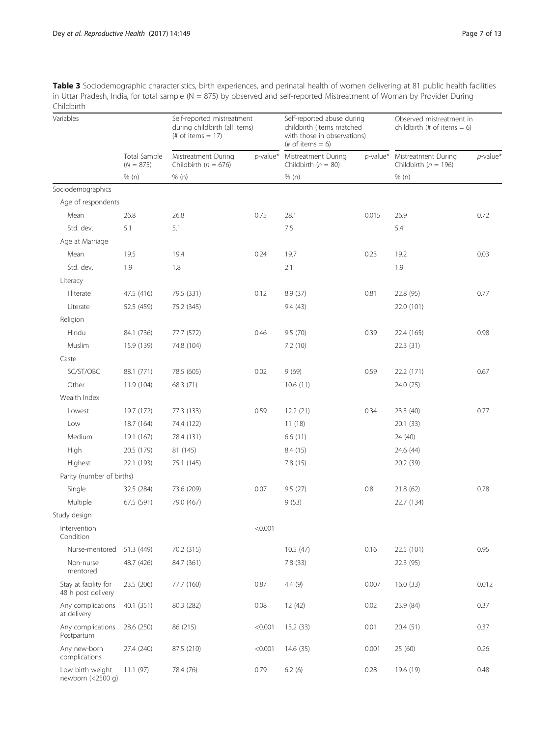<span id="page-6-0"></span>Table 3 Sociodemographic characteristics, birth experiences, and perinatal health of women delivering at 81 public health facilities in Uttar Pradesh, India, for total sample (N = 875) by observed and self-reported Mistreatment of Woman by Provider During Childbirth

| Variables                                  |                             | Self-reported mistreatment<br>during childbirth (all items)<br>(# of items = $17$ ) |             | Self-reported abuse during<br>childbirth (items matched<br>with those in observations)<br>(# of items = $6$ ) |             | Observed mistreatment in<br>childbirth (# of items $= 6$ ) |             |
|--------------------------------------------|-----------------------------|-------------------------------------------------------------------------------------|-------------|---------------------------------------------------------------------------------------------------------------|-------------|------------------------------------------------------------|-------------|
|                                            | Total Sample<br>$(N = 875)$ | Mistreatment During<br>Childbirth ( $n = 676$ )                                     | $p$ -value* | Mistreatment During<br>Childbirth ( $n = 80$ )                                                                | $p$ -value* | Mistreatment During<br>Childbirth ( $n = 196$ )            | $p$ -value* |
|                                            | % (n)                       | % (n)                                                                               |             | % (n)                                                                                                         |             | % (n)                                                      |             |
| Sociodemographics                          |                             |                                                                                     |             |                                                                                                               |             |                                                            |             |
| Age of respondents                         |                             |                                                                                     |             |                                                                                                               |             |                                                            |             |
| Mean                                       | 26.8                        | 26.8                                                                                | 0.75        | 28.1                                                                                                          | 0.015       | 26.9                                                       | 0.72        |
| Std. dev.                                  | 5.1                         | 5.1                                                                                 |             | 7.5                                                                                                           |             | 5.4                                                        |             |
| Age at Marriage                            |                             |                                                                                     |             |                                                                                                               |             |                                                            |             |
| Mean                                       | 19.5                        | 19.4                                                                                | 0.24        | 19.7                                                                                                          | 0.23        | 19.2                                                       | 0.03        |
| Std. dev.                                  | 1.9                         | 1.8                                                                                 |             | 2.1                                                                                                           |             | 1.9                                                        |             |
| Literacy                                   |                             |                                                                                     |             |                                                                                                               |             |                                                            |             |
| Illiterate                                 | 47.5 (416)                  | 79.5 (331)                                                                          | 0.12        | 8.9(37)                                                                                                       | 0.81        | 22.8 (95)                                                  | 0.77        |
| Literate                                   | 52.5 (459)                  | 75.2 (345)                                                                          |             | 9.4(43)                                                                                                       |             | 22.0 (101)                                                 |             |
| Religion                                   |                             |                                                                                     |             |                                                                                                               |             |                                                            |             |
| Hindu                                      | 84.1 (736)                  | 77.7 (572)                                                                          | 0.46        | 9.5(70)                                                                                                       | 0.39        | 22.4 (165)                                                 | 0.98        |
| Muslim                                     | 15.9 (139)                  | 74.8 (104)                                                                          |             | 7.2(10)                                                                                                       |             | 22.3 (31)                                                  |             |
| Caste                                      |                             |                                                                                     |             |                                                                                                               |             |                                                            |             |
| SC/ST/OBC                                  | 88.1 (771)                  | 78.5 (605)                                                                          | 0.02        | 9(69)                                                                                                         | 0.59        | 22.2 (171)                                                 | 0.67        |
| Other                                      | 11.9 (104)                  | 68.3 (71)                                                                           |             | 10.6(11)                                                                                                      |             | 24.0 (25)                                                  |             |
| Wealth Index                               |                             |                                                                                     |             |                                                                                                               |             |                                                            |             |
| Lowest                                     | 19.7 (172)                  | 77.3 (133)                                                                          | 0.59        | 12.2(21)                                                                                                      | 0.34        | 23.3 (40)                                                  | 0.77        |
| Low                                        | 18.7 (164)                  | 74.4 (122)                                                                          |             | 11(18)                                                                                                        |             | 20.1 (33)                                                  |             |
| Medium                                     | 19.1 (167)                  | 78.4 (131)                                                                          |             | 6.6(11)                                                                                                       |             | 24 (40)                                                    |             |
| High                                       | 20.5 (179)                  | 81 (145)                                                                            |             | 8.4(15)                                                                                                       |             | 24.6 (44)                                                  |             |
| Highest                                    | 22.1 (193)                  | 75.1 (145)                                                                          |             | 7.8(15)                                                                                                       |             | 20.2 (39)                                                  |             |
| Parity (number of births)                  |                             |                                                                                     |             |                                                                                                               |             |                                                            |             |
| Single                                     | 32.5 (284)                  | 73.6 (209)                                                                          | 0.07        | 9.5(27)                                                                                                       | 0.8         | 21.8 (62)                                                  | 0.78        |
| Multiple                                   | 67.5 (591)                  | 79.0 (467)                                                                          |             | 9(53)                                                                                                         |             | 22.7 (134)                                                 |             |
| Study design                               |                             |                                                                                     |             |                                                                                                               |             |                                                            |             |
| Intervention<br>Condition                  |                             |                                                                                     | < 0.001     |                                                                                                               |             |                                                            |             |
| Nurse-mentored                             | 51.3 (449)                  | 70.2 (315)                                                                          |             | 10.5(47)                                                                                                      | 0.16        | 22.5 (101)                                                 | 0.95        |
| Non-nurse<br>mentored                      | 48.7 (426)                  | 84.7 (361)                                                                          |             | 7.8(33)                                                                                                       |             | 22.3 (95)                                                  |             |
| Stay at facility for<br>48 h post delivery | 23.5 (206)                  | 77.7 (160)                                                                          | 0.87        | 4.4(9)                                                                                                        | 0.007       | 16.0(33)                                                   | 0.012       |
| Any complications<br>at delivery           | 40.1 (351)                  | 80.3 (282)                                                                          | 0.08        | 12 (42)                                                                                                       | 0.02        | 23.9 (84)                                                  | 0.37        |
| Any complications<br>Postpartum            | 28.6 (250)                  | 86 (215)                                                                            | < 0.001     | 13.2(33)                                                                                                      | 0.01        | 20.4 (51)                                                  | 0.37        |
| Any new-born<br>complications              | 27.4 (240)                  | 87.5 (210)                                                                          | < 0.001     | 14.6 (35)                                                                                                     | 0.001       | 25 (60)                                                    | 0.26        |
| Low birth weight<br>newborn (<2500 g)      | 11.1 (97)                   | 78.4 (76)                                                                           | 0.79        | 6.2(6)                                                                                                        | 0.28        | 19.6 (19)                                                  | 0.48        |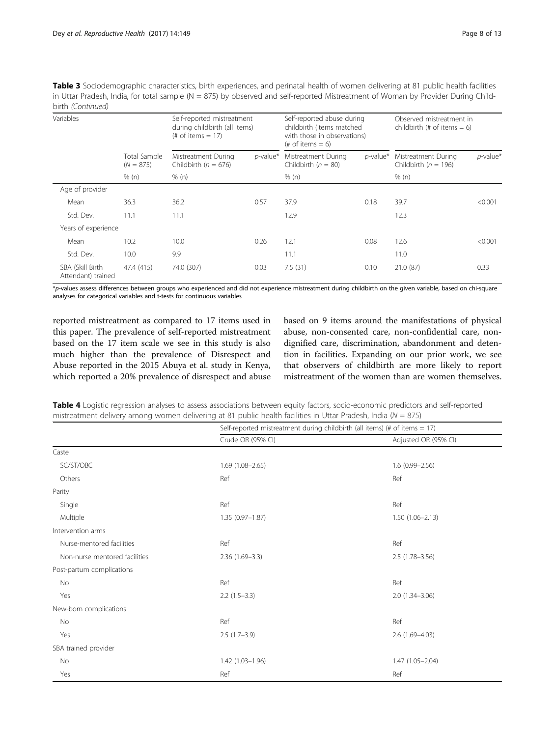<span id="page-7-0"></span>Table 3 Sociodemographic characteristics, birth experiences, and perinatal health of women delivering at 81 public health facilities in Uttar Pradesh, India, for total sample (N = 875) by observed and self-reported Mistreatment of Woman by Provider During Childbirth (Continued)

| Variables                               |                             | Self-reported mistreatment<br>during childbirth (all items)<br>$#$ of items = 17) |             | Self-reported abuse during<br>childbirth (items matched<br>with those in observations)<br>$#$ of items = 6) |             | Observed mistreatment in<br>childbirth (# of items $= 6$ ) |             |
|-----------------------------------------|-----------------------------|-----------------------------------------------------------------------------------|-------------|-------------------------------------------------------------------------------------------------------------|-------------|------------------------------------------------------------|-------------|
|                                         | Total Sample<br>$(N = 875)$ | Mistreatment During<br>Childbirth ( $n = 676$ )                                   | $p$ -value* | Mistreatment During<br>Childbirth ( $n = 80$ )                                                              | $p$ -value* | Mistreatment During<br>Childbirth ( $n = 196$ )            | $p$ -value* |
|                                         | % (n)                       | % (n)                                                                             |             | % (n)                                                                                                       |             | % (n)                                                      |             |
| Age of provider                         |                             |                                                                                   |             |                                                                                                             |             |                                                            |             |
| Mean                                    | 36.3                        | 36.2                                                                              | 0.57        | 37.9                                                                                                        | 0.18        | 39.7                                                       | < 0.001     |
| Std. Dev.                               | 11.1                        | 11.1                                                                              |             | 12.9                                                                                                        |             | 12.3                                                       |             |
| Years of experience                     |                             |                                                                                   |             |                                                                                                             |             |                                                            |             |
| Mean                                    | 10.2                        | 10.0                                                                              | 0.26        | 12.1                                                                                                        | 0.08        | 12.6                                                       | < 0.001     |
| Std. Dev.                               | 10.0                        | 9.9                                                                               |             | 11.1                                                                                                        |             | 11.0                                                       |             |
| SBA (Skill Birth)<br>Attendant) trained | 47.4 (415)                  | 74.0 (307)                                                                        | 0.03        | 7.5(31)                                                                                                     | 0.10        | 21.0 (87)                                                  | 0.33        |

\*p-values assess differences between groups who experienced and did not experience mistreatment during childbirth on the given variable, based on chi-square analyses for categorical variables and t-tests for continuous variables

reported mistreatment as compared to 17 items used in this paper. The prevalence of self-reported mistreatment based on the 17 item scale we see in this study is also much higher than the prevalence of Disrespect and Abuse reported in the 2015 Abuya et al. study in Kenya, which reported a 20% prevalence of disrespect and abuse

based on 9 items around the manifestations of physical abuse, non-consented care, non-confidential care, nondignified care, discrimination, abandonment and detention in facilities. Expanding on our prior work, we see that observers of childbirth are more likely to report mistreatment of the women than are women themselves.

Table 4 Logistic regression analyses to assess associations between equity factors, socio-economic predictors and self-reported mistreatment delivery among women delivering at 81 public health facilities in Uttar Pradesh, India ( $N = 875$ )

|                               | Self-reported mistreatment during childbirth (all items) (# of items = 17) |                      |  |
|-------------------------------|----------------------------------------------------------------------------|----------------------|--|
|                               | Crude OR (95% CI)                                                          | Adjusted OR (95% CI) |  |
| Caste                         |                                                                            |                      |  |
| SC/ST/OBC                     | $1.69(1.08 - 2.65)$                                                        | $1.6(0.99 - 2.56)$   |  |
| Others                        | Ref                                                                        | Ref                  |  |
| Parity                        |                                                                            |                      |  |
| Single                        | Ref                                                                        | Ref                  |  |
| Multiple                      | $1.35(0.97 - 1.87)$                                                        | $1.50(1.06 - 2.13)$  |  |
| Intervention arms             |                                                                            |                      |  |
| Nurse-mentored facilities     | Ref                                                                        | Ref                  |  |
| Non-nurse mentored facilities | $2.36(1.69-3.3)$                                                           | $2.5(1.78 - 3.56)$   |  |
| Post-partum complications     |                                                                            |                      |  |
| No                            | Ref                                                                        | Ref                  |  |
| Yes                           | $2.2(1.5-3.3)$                                                             | $2.0(1.34 - 3.06)$   |  |
| New-born complications        |                                                                            |                      |  |
| <b>No</b>                     | Ref                                                                        | Ref                  |  |
| Yes                           | $2.5(1.7-3.9)$                                                             | $2.6(1.69 - 4.03)$   |  |
| SBA trained provider          |                                                                            |                      |  |
| No                            | 1.42 (1.03-1.96)                                                           | $1.47(1.05 - 2.04)$  |  |
| Yes                           | Ref                                                                        | Ref                  |  |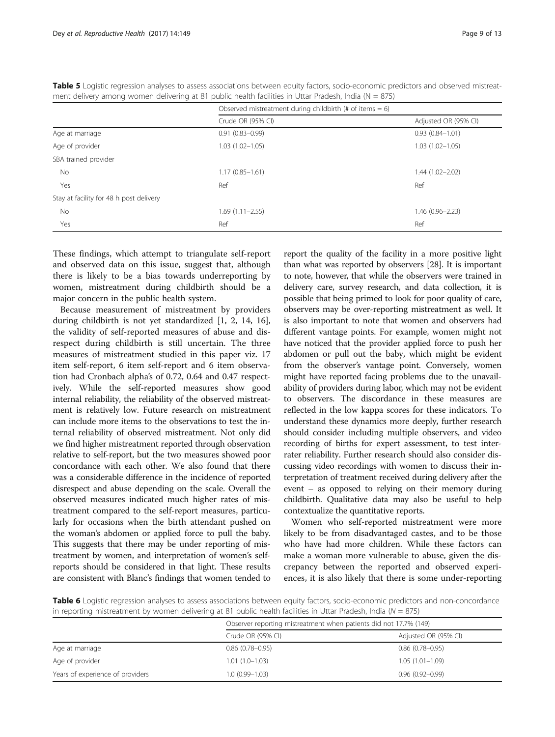|                                         | Observed mistreatment during childbirth (# of items $= 6$ ) |                      |  |
|-----------------------------------------|-------------------------------------------------------------|----------------------|--|
|                                         | Crude OR (95% CI)                                           | Adjusted OR (95% CI) |  |
| Age at marriage                         | $0.91(0.83 - 0.99)$                                         | $0.93(0.84 - 1.01)$  |  |
| Age of provider                         | $1.03(1.02 - 1.05)$                                         | $1.03(1.02 - 1.05)$  |  |
| SBA trained provider                    |                                                             |                      |  |
| No                                      | $1.17(0.85 - 1.61)$                                         | 1.44 (1.02-2.02)     |  |
| Yes                                     | Ref                                                         | Ref                  |  |
| Stay at facility for 48 h post delivery |                                                             |                      |  |
| No                                      | $1.69(1.11 - 2.55)$                                         | $1.46(0.96 - 2.23)$  |  |
| Yes                                     | Ref                                                         | Ref                  |  |

<span id="page-8-0"></span>Table 5 Logistic regression analyses to assess associations between equity factors, socio-economic predictors and observed mistreatment delivery among women delivering at 81 public health facilities in Uttar Pradesh, India ( $N = 875$ )

These findings, which attempt to triangulate self-report and observed data on this issue, suggest that, although there is likely to be a bias towards underreporting by women, mistreatment during childbirth should be a major concern in the public health system.

Because measurement of mistreatment by providers during childbirth is not yet standardized [\[1](#page-11-0), [2, 14, 16](#page-11-0)], the validity of self-reported measures of abuse and disrespect during childbirth is still uncertain. The three measures of mistreatment studied in this paper viz. 17 item self-report, 6 item self-report and 6 item observation had Cronbach alpha's of 0.72, 0.64 and 0.47 respectively. While the self-reported measures show good internal reliability, the reliability of the observed mistreatment is relatively low. Future research on mistreatment can include more items to the observations to test the internal reliability of observed mistreatment. Not only did we find higher mistreatment reported through observation relative to self-report, but the two measures showed poor concordance with each other. We also found that there was a considerable difference in the incidence of reported disrespect and abuse depending on the scale. Overall the observed measures indicated much higher rates of mistreatment compared to the self-report measures, particularly for occasions when the birth attendant pushed on the woman's abdomen or applied force to pull the baby. This suggests that there may be under reporting of mistreatment by women, and interpretation of women's selfreports should be considered in that light. These results are consistent with Blanc's findings that women tended to

report the quality of the facility in a more positive light than what was reported by observers [\[28\]](#page-12-0). It is important to note, however, that while the observers were trained in delivery care, survey research, and data collection, it is possible that being primed to look for poor quality of care, observers may be over-reporting mistreatment as well. It is also important to note that women and observers had different vantage points. For example, women might not have noticed that the provider applied force to push her abdomen or pull out the baby, which might be evident from the observer's vantage point. Conversely, women might have reported facing problems due to the unavailability of providers during labor, which may not be evident to observers. The discordance in these measures are reflected in the low kappa scores for these indicators. To understand these dynamics more deeply, further research should consider including multiple observers, and video recording of births for expert assessment, to test interrater reliability. Further research should also consider discussing video recordings with women to discuss their interpretation of treatment received during delivery after the event – as opposed to relying on their memory during childbirth. Qualitative data may also be useful to help contextualize the quantitative reports.

Women who self-reported mistreatment were more likely to be from disadvantaged castes, and to be those who have had more children. While these factors can make a woman more vulnerable to abuse, given the discrepancy between the reported and observed experiences, it is also likely that there is some under-reporting

Table 6 Logistic regression analyses to assess associations between equity factors, socio-economic predictors and non-concordance in reporting mistreatment by women delivering at 81 public health facilities in Uttar Pradesh, India ( $N = 875$ )

|                                  | Observer reporting mistreatment when patients did not 17.7% (149) |                      |  |
|----------------------------------|-------------------------------------------------------------------|----------------------|--|
|                                  | Crude OR (95% CI)                                                 | Adjusted OR (95% CI) |  |
| Age at marriage                  | $0.86$ (0.78-0.95)                                                | $0.86(0.78 - 0.95)$  |  |
| Age of provider                  | $1.01(1.0-1.03)$                                                  | $1.05(1.01 - 1.09)$  |  |
| Years of experience of providers | $1.0(0.99 - 1.03)$                                                | $0.96(0.92 - 0.99)$  |  |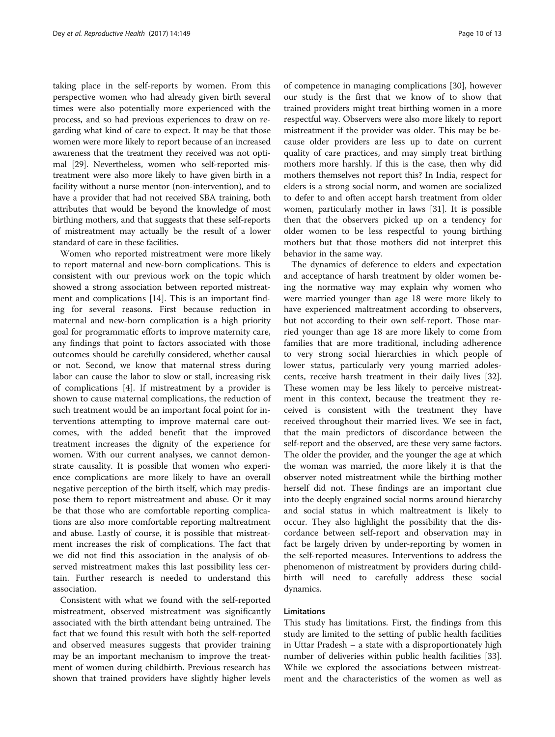taking place in the self-reports by women. From this perspective women who had already given birth several times were also potentially more experienced with the process, and so had previous experiences to draw on regarding what kind of care to expect. It may be that those women were more likely to report because of an increased awareness that the treatment they received was not optimal [\[29\]](#page-12-0). Nevertheless, women who self-reported mistreatment were also more likely to have given birth in a facility without a nurse mentor (non-intervention), and to have a provider that had not received SBA training, both attributes that would be beyond the knowledge of most birthing mothers, and that suggests that these self-reports of mistreatment may actually be the result of a lower standard of care in these facilities.

Women who reported mistreatment were more likely to report maternal and new-born complications. This is consistent with our previous work on the topic which showed a strong association between reported mistreatment and complications [\[14](#page-11-0)]. This is an important finding for several reasons. First because reduction in maternal and new-born complication is a high priority goal for programmatic efforts to improve maternity care, any findings that point to factors associated with those outcomes should be carefully considered, whether causal or not. Second, we know that maternal stress during labor can cause the labor to slow or stall, increasing risk of complications [[4\]](#page-11-0). If mistreatment by a provider is shown to cause maternal complications, the reduction of such treatment would be an important focal point for interventions attempting to improve maternal care outcomes, with the added benefit that the improved treatment increases the dignity of the experience for women. With our current analyses, we cannot demonstrate causality. It is possible that women who experience complications are more likely to have an overall negative perception of the birth itself, which may predispose them to report mistreatment and abuse. Or it may be that those who are comfortable reporting complications are also more comfortable reporting maltreatment and abuse. Lastly of course, it is possible that mistreatment increases the risk of complications. The fact that we did not find this association in the analysis of observed mistreatment makes this last possibility less certain. Further research is needed to understand this association.

Consistent with what we found with the self-reported mistreatment, observed mistreatment was significantly associated with the birth attendant being untrained. The fact that we found this result with both the self-reported and observed measures suggests that provider training may be an important mechanism to improve the treatment of women during childbirth. Previous research has shown that trained providers have slightly higher levels of competence in managing complications [[30\]](#page-12-0), however our study is the first that we know of to show that trained providers might treat birthing women in a more respectful way. Observers were also more likely to report mistreatment if the provider was older. This may be because older providers are less up to date on current quality of care practices, and may simply treat birthing mothers more harshly. If this is the case, then why did mothers themselves not report this? In India, respect for elders is a strong social norm, and women are socialized to defer to and often accept harsh treatment from older women, particularly mother in laws [\[31](#page-12-0)]. It is possible then that the observers picked up on a tendency for older women to be less respectful to young birthing mothers but that those mothers did not interpret this behavior in the same way.

The dynamics of deference to elders and expectation and acceptance of harsh treatment by older women being the normative way may explain why women who were married younger than age 18 were more likely to have experienced maltreatment according to observers, but not according to their own self-report. Those married younger than age 18 are more likely to come from families that are more traditional, including adherence to very strong social hierarchies in which people of lower status, particularly very young married adolescents, receive harsh treatment in their daily lives [\[32](#page-12-0)]. These women may be less likely to perceive mistreatment in this context, because the treatment they received is consistent with the treatment they have received throughout their married lives. We see in fact, that the main predictors of discordance between the self-report and the observed, are these very same factors. The older the provider, and the younger the age at which the woman was married, the more likely it is that the observer noted mistreatment while the birthing mother herself did not. These findings are an important clue into the deeply engrained social norms around hierarchy and social status in which maltreatment is likely to occur. They also highlight the possibility that the discordance between self-report and observation may in fact be largely driven by under-reporting by women in the self-reported measures. Interventions to address the phenomenon of mistreatment by providers during childbirth will need to carefully address these social dynamics.

## Limitations

This study has limitations. First, the findings from this study are limited to the setting of public health facilities in Uttar Pradesh – a state with a disproportionately high number of deliveries within public health facilities [\[33](#page-12-0)]. While we explored the associations between mistreatment and the characteristics of the women as well as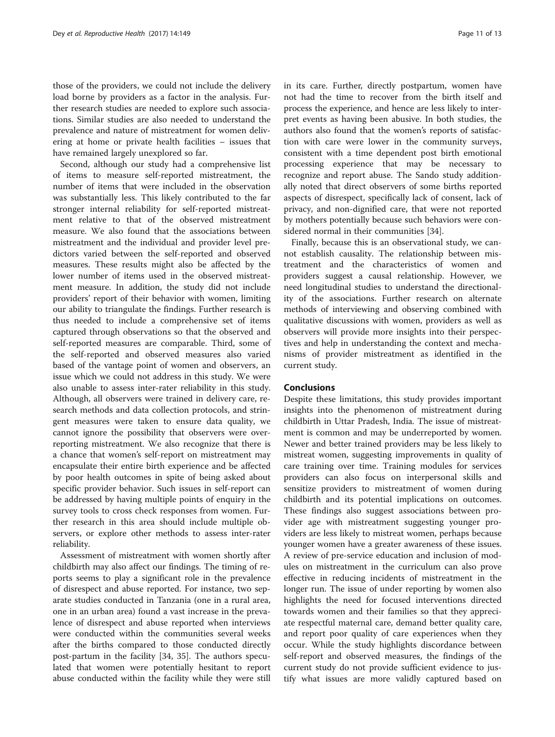those of the providers, we could not include the delivery load borne by providers as a factor in the analysis. Further research studies are needed to explore such associations. Similar studies are also needed to understand the prevalence and nature of mistreatment for women delivering at home or private health facilities – issues that have remained largely unexplored so far.

Second, although our study had a comprehensive list of items to measure self-reported mistreatment, the number of items that were included in the observation was substantially less. This likely contributed to the far stronger internal reliability for self-reported mistreatment relative to that of the observed mistreatment measure. We also found that the associations between mistreatment and the individual and provider level predictors varied between the self-reported and observed measures. These results might also be affected by the lower number of items used in the observed mistreatment measure. In addition, the study did not include providers' report of their behavior with women, limiting our ability to triangulate the findings. Further research is thus needed to include a comprehensive set of items captured through observations so that the observed and self-reported measures are comparable. Third, some of the self-reported and observed measures also varied based of the vantage point of women and observers, an issue which we could not address in this study. We were also unable to assess inter-rater reliability in this study. Although, all observers were trained in delivery care, research methods and data collection protocols, and stringent measures were taken to ensure data quality, we cannot ignore the possibility that observers were overreporting mistreatment. We also recognize that there is a chance that women's self-report on mistreatment may encapsulate their entire birth experience and be affected by poor health outcomes in spite of being asked about specific provider behavior. Such issues in self-report can be addressed by having multiple points of enquiry in the survey tools to cross check responses from women. Further research in this area should include multiple observers, or explore other methods to assess inter-rater reliability.

Assessment of mistreatment with women shortly after childbirth may also affect our findings. The timing of reports seems to play a significant role in the prevalence of disrespect and abuse reported. For instance, two separate studies conducted in Tanzania (one in a rural area, one in an urban area) found a vast increase in the prevalence of disrespect and abuse reported when interviews were conducted within the communities several weeks after the births compared to those conducted directly post-partum in the facility [[34, 35\]](#page-12-0). The authors speculated that women were potentially hesitant to report abuse conducted within the facility while they were still in its care. Further, directly postpartum, women have not had the time to recover from the birth itself and process the experience, and hence are less likely to interpret events as having been abusive. In both studies, the authors also found that the women's reports of satisfaction with care were lower in the community surveys, consistent with a time dependent post birth emotional processing experience that may be necessary to recognize and report abuse. The Sando study additionally noted that direct observers of some births reported aspects of disrespect, specifically lack of consent, lack of privacy, and non-dignified care, that were not reported by mothers potentially because such behaviors were considered normal in their communities [\[34](#page-12-0)].

Finally, because this is an observational study, we cannot establish causality. The relationship between mistreatment and the characteristics of women and providers suggest a causal relationship. However, we need longitudinal studies to understand the directionality of the associations. Further research on alternate methods of interviewing and observing combined with qualitative discussions with women, providers as well as observers will provide more insights into their perspectives and help in understanding the context and mechanisms of provider mistreatment as identified in the current study.

#### Conclusions

Despite these limitations, this study provides important insights into the phenomenon of mistreatment during childbirth in Uttar Pradesh, India. The issue of mistreatment is common and may be underreported by women. Newer and better trained providers may be less likely to mistreat women, suggesting improvements in quality of care training over time. Training modules for services providers can also focus on interpersonal skills and sensitize providers to mistreatment of women during childbirth and its potential implications on outcomes. These findings also suggest associations between provider age with mistreatment suggesting younger providers are less likely to mistreat women, perhaps because younger women have a greater awareness of these issues. A review of pre-service education and inclusion of modules on mistreatment in the curriculum can also prove effective in reducing incidents of mistreatment in the longer run. The issue of under reporting by women also highlights the need for focused interventions directed towards women and their families so that they appreciate respectful maternal care, demand better quality care, and report poor quality of care experiences when they occur. While the study highlights discordance between self-report and observed measures, the findings of the current study do not provide sufficient evidence to justify what issues are more validly captured based on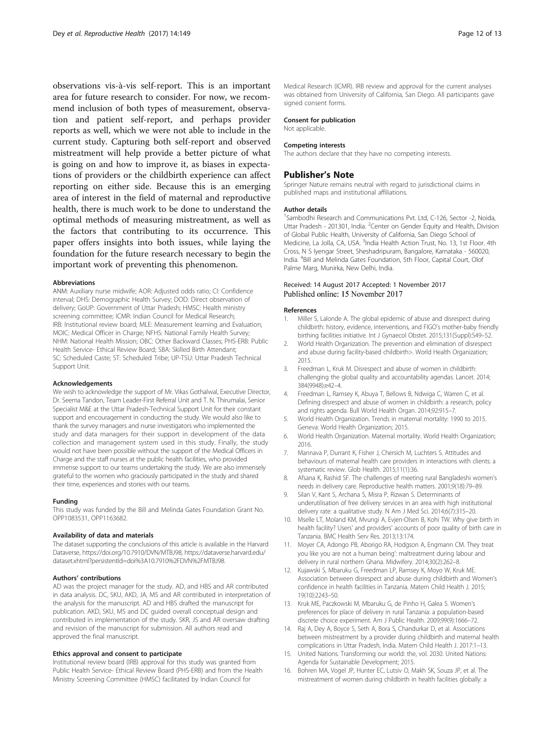<span id="page-11-0"></span>observations vis-à-vis self-report. This is an important area for future research to consider. For now, we recommend inclusion of both types of measurement, observation and patient self-report, and perhaps provider reports as well, which we were not able to include in the current study. Capturing both self-report and observed mistreatment will help provide a better picture of what is going on and how to improve it, as biases in expectations of providers or the childbirth experience can affect reporting on either side. Because this is an emerging area of interest in the field of maternal and reproductive health, there is much work to be done to understand the optimal methods of measuring mistreatment, as well as the factors that contributing to its occurrence. This paper offers insights into both issues, while laying the foundation for the future research necessary to begin the important work of preventing this phenomenon.

#### Abbreviations

ANM: Auxiliary nurse midwife; AOR: Adjusted odds ratio; CI: Confidence interval; DHS: Demographic Health Survey; DOD: Direct observation of delivery; GoUP: Government of Uttar Pradesh; HMSC: Health ministry screening committee; ICMR: Indian Council for Medical Research; IRB: Institutional review board; MLE: Measurement learning and Evaluation; MOIC: Medical Officer in Charge; NFHS: National Family Health Survey; NHM: National Health Mission; OBC: Other Backward Classes; PHS-ERB: Public Health Service- Ethical Review Board; SBA: Skilled Birth Attendant; SC: Scheduled Caste; ST: Scheduled Tribe; UP-TSU: Uttar Pradesh Technical Support Unit.

#### Acknowledgements

We wish to acknowledge the support of Mr. Vikas Gothalwal, Executive Director, Dr. Seema Tandon, Team Leader-First Referral Unit and T. N. Thirumalai, Senior Specialist M&E at the Uttar Pradesh-Technical Support Unit for their constant support and encouragement in conducting the study. We would also like to thank the survey managers and nurse investigators who implemented the study and data managers for their support in development of the data collection and management system used in this study. Finally, the study would not have been possible without the support of the Medical Officers in Charge and the staff nurses at the public health facilities, who provided immense support to our teams undertaking the study. We are also immensely grateful to the women who graciously participated in the study and shared their time, experiences and stories with our teams.

#### Funding

This study was funded by the Bill and Melinda Gates Foundation Grant No. OPP1083531, OPP1163682.

#### Availability of data and materials

The dataset supporting the conclusions of this article is available in the Harvard Dataverse, [https://doi.org/10.7910/DVN/MTBJ98,](https://doi.org/10.7910/DVN/MTBJ98) [https://dataverse.harvard.edu/](https://dataverse.harvard.edu/dataset.xhtml?persistentId=doi%3A10.7910%2FDVN%2FMTBJ98) [dataset.xhtml?persistentId=doi%3A10.7910%2FDVN%2FMTBJ98.](https://dataverse.harvard.edu/dataset.xhtml?persistentId=doi%3A10.7910%2FDVN%2FMTBJ98)

#### Authors' contributions

AD was the project manager for the study. AD, and HBS and AR contributed in data analysis. DC, SKU, AKD, JA, MS and AR contributed in interpretation of the analysis for the manuscript. AD and HBS drafted the manuscript for publication. AKD, SKU, MS and DC guided overall conceptual design and contributed in implementation of the study. SKR, JS and AR oversaw drafting and revision of the manuscript for submission. All authors read and approved the final manuscript.

#### Ethics approval and consent to participate

Institutional review board (IRB) approval for this study was granted from Public Health Service- Ethical Review Board (PHS-ERB) and from the Health Ministry Screening Committee (HMSC) facilitated by Indian Council for

Medical Research (ICMR). IRB review and approval for the current analyses was obtained from University of California, San Diego. All participants gave signed consent forms.

#### Consent for publication

Not applicable.

#### Competing interests

The authors declare that they have no competing interests.

#### Publisher's Note

Springer Nature remains neutral with regard to jurisdictional claims in published maps and institutional affiliations.

#### Author details

<sup>1</sup>Sambodhi Research and Communications Pvt. Ltd, C-126, Sector -2, Noida, Uttar Pradesh - 201301, India. <sup>2</sup> Center on Gender Equity and Health, Division of Global Public Health, University of California, San Diego School of Medicine, La Jolla, CA, USA. <sup>3</sup>India Health Action Trust, No. 13, 1st Floor. 4th Cross, N S Iyengar Street, Sheshadripuram, Bangalore, Karnataka - 560020, India. <sup>4</sup> Bill and Melinda Gates Foundation, 5th Floor, Capital Court, Olof Palme Marg, Munirka, New Delhi, India.

## Received: 14 August 2017 Accepted: 1 November 2017 Published online: 15 November 2017

#### References

- Miller S, Lalonde A. The global epidemic of abuse and disrespect during childbirth: history, evidence, interventions, and FIGO's mother-baby friendly birthing facilities initiative. Int J Gynaecol Obstet. 2015;131(Suppl):S49–52.
- 2. World Health Organization. The prevention and elimination of disrespect and abuse during facility-based childbirth>. World Health Organization; 2015.
- 3. Freedman L, Kruk M. Disrespect and abuse of women in childbirth: challenging the global quality and accountability agendas. Lancet. 2014; 384(9948):e42–4.
- 4. Freedman L, Ramsey K, Abuya T, Bellows B, Ndwiga C, Warren C, et al. Defining disrespect and abuse of women in childbirth: a research, policy and rights agenda. Bull World Health Organ. 2014;92:915–7.
- 5. World Health Organization. Trends in maternal mortality: 1990 to 2015. Geneva: World Health Organization; 2015.
- 6. World Health Organization. Maternal mortality. World Health Organization; 2016.
- 7. Mannava P, Durrant K, Fisher J, Chersich M, Luchters S. Attitudes and behaviours of maternal health care providers in interactions with clients: a systematic review. Glob Health. 2015;11(1):36.
- 8. Afsana K, Rashid SF. The challenges of meeting rural Bangladeshi women's needs in delivery care. Reproductive health matters. 2001;9(18):79–89.
- 9. Silan V, Kant S, Archana S, Misra P, Rizwan S. Determinants of underutilisation of free delivery services in an area with high institutional delivery rate: a qualitative study. N Am J Med Sci. 2014;6(7):315–20.
- 10. Mselle LT, Moland KM, Mvungi A, Evjen-Olsen B, Kohi TW. Why give birth in health facility? Users' and providers' accounts of poor quality of birth care in Tanzania. BMC Health Serv Res. 2013;13:174.
- 11. Moyer CA, Adongo PB, Aborigo RA, Hodgson A, Engmann CM. They treat you like you are not a human being': maltreatment during labour and delivery in rural northern Ghana. Midwifery. 2014;30(2):262–8.
- 12. Kujawski S, Mbaruku G, Freedman LP, Ramsey K, Moyo W, Kruk ME. Association between disrespect and abuse during childbirth and Women's confidence in health facilities in Tanzania. Matern Child Health J. 2015; 19(10):2243–50.
- 13. Kruk ME, Paczkowski M, Mbaruku G, de Pinho H, Galea S. Women's preferences for place of delivery in rural Tanzania: a population-based discrete choice experiment. Am J Public Health. 2009;99(9):1666–72.
- 14. Raj A, Dey A, Boyce S, Seth A, Bora S, Chandurkar D, et al. Associations between mistreatment by a provider during childbirth and maternal health complications in Uttar Pradesh, India. Matern Child Health J. 2017:1–13.
- 15. United Nations. Transforming our world: the, vol. 2030. United Nations: Agenda for Sustainable Development; 2015.
- 16. Bohren MA, Vogel JP, Hunter EC, Lutsiv O, Makh SK, Souza JP, et al. The mistreatment of women during childbirth in health facilities globally: a